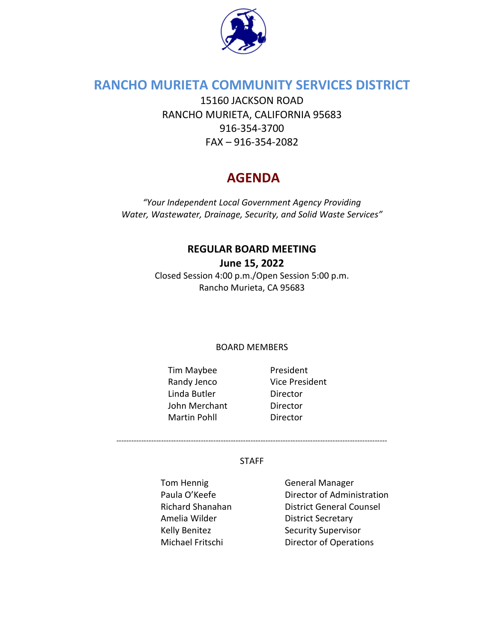

### **RANCHO MURIETA COMMUNITY SERVICES DISTRICT**

15160 JACKSON ROAD RANCHO MURIETA, CALIFORNIA 95683 916-354-3700 FAX – 916-354-2082

# **AGENDA**

*"Your Independent Local Government Agency Providing Water, Wastewater, Drainage, Security, and Solid Waste Services"*

# **REGULAR BOARD MEETING**

**June 15, 2022**

Closed Session 4:00 p.m./Open Session 5:00 p.m. Rancho Murieta, CA 95683

#### BOARD MEMBERS

- Tim Maybee President Randy Jenco Vice President Linda Butler Director John Merchant Director Martin Pohll **Director** 
	-

#### STAFF

-------------------------------------------------------------------------------------------------------------

Tom Hennig **General Manager** Amelia Wilder **District Secretary** 

Paula O'Keefe **Director of Administration** Richard Shanahan District General Counsel Kelly Benitez Security Supervisor Michael Fritschi Director of Operations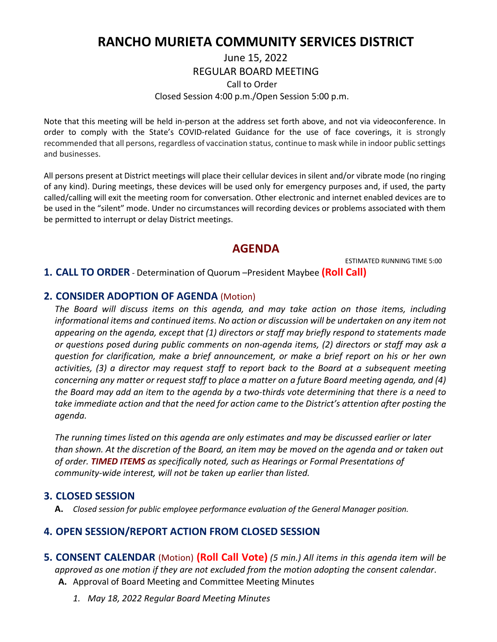## **RANCHO MURIETA COMMUNITY SERVICES DISTRICT**

#### June 15, 2022 REGULAR BOARD MEETING Call to Order Closed Session 4:00 p.m./Open Session 5:00 p.m.

Note that this meeting will be held in-person at the address set forth above, and not via videoconference. In order to comply with the State's COVID-related Guidance for the use of face coverings, it is strongly recommended that all persons, regardless of vaccination status, continue to mask while in indoor public settings and businesses.

All persons present at District meetings will place their cellular devices in silent and/or vibrate mode (no ringing of any kind). During meetings, these devices will be used only for emergency purposes and, if used, the party called/calling will exit the meeting room for conversation. Other electronic and internet enabled devices are to be used in the "silent" mode. Under no circumstances will recording devices or problems associated with them be permitted to interrupt or delay District meetings.

#### **AGENDA**

ESTIMATED RUNNING TIME 5:00

#### **1. CALL TO ORDER** - Determination of Quorum –President Maybee **(Roll Call)**

#### **2. CONSIDER ADOPTION OF AGENDA** (Motion)

*The Board will discuss items on this agenda, and may take action on those items, including informational items and continued items. No action or discussion will be undertaken on any item not appearing on the agenda, except that (1) directors or staff may briefly respond to statements made or questions posed during public comments on non-agenda items, (2) directors or staff may ask a question for clarification, make a brief announcement, or make a brief report on his or her own activities, (3) a director may request staff to report back to the Board at a subsequent meeting concerning any matter or request staff to place a matter on a future Board meeting agenda, and (4) the Board may add an item to the agenda by a two-thirds vote determining that there is a need to take immediate action and that the need for action came to the District's attention after posting the agenda.*

*The running times listed on this agenda are only estimates and may be discussed earlier or later than shown. At the discretion of the Board, an item may be moved on the agenda and or taken out of order. TIMED ITEMS as specifically noted, such as Hearings or Formal Presentations of community-wide interest, will not be taken up earlier than listed.*

#### **3. CLOSED SESSION**

**A.** *Closed session for public employee performance evaluation of the General Manager position.*

#### **4. OPEN SESSION/REPORT ACTION FROM CLOSED SESSION**

- **5. CONSENT CALENDAR** (Motion) **(Roll Call Vote)** *(5 min.) All items in this agenda item will be approved as one motion if they are not excluded from the motion adopting the consent calendar*. **A.** Approval of Board Meeting and Committee Meeting Minutes
	- *1. May 18, 2022 Regular Board Meeting Minutes*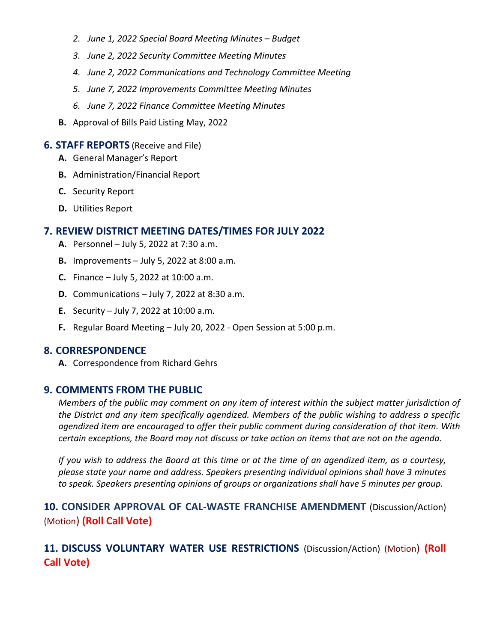- *2. June 1, 2022 Special Board Meeting Minutes – Budget*
- *3. June 2, 2022 Security Committee Meeting Minutes*
- *4. June 2, 2022 Communications and Technology Committee Meeting*
- *5. June 7, 2022 Improvements Committee Meeting Minutes*
- *6. June 7, 2022 Finance Committee Meeting Minutes*
- **B.** Approval of Bills Paid Listing May, 2022

#### **6. STAFF REPORTS** (Receive and File)

- **A.** General Manager's Report
- **B.** Administration/Financial Report
- **C.** Security Report
- **D.** Utilities Report

#### **7. REVIEW DISTRICT MEETING DATES/TIMES FOR JULY 2022**

- **A.** Personnel July 5, 2022 at 7:30 a.m.
- **B.** Improvements July 5, 2022 at 8:00 a.m.
- **C.** Finance July 5, 2022 at 10:00 a.m.
- **D.** Communications July 7, 2022 at 8:30 a.m.
- **E.** Security July 7, 2022 at 10:00 a.m.
- **F.** Regular Board Meeting July 20, 2022 Open Session at 5:00 p.m.

#### **8. CORRESPONDENCE**

**A.** Correspondence from Richard Gehrs

#### **9. COMMENTS FROM THE PUBLIC**

*Members of the public may comment on any item of interest within the subject matter jurisdiction of the District and any item specifically agendized. Members of the public wishing to address a specific agendized item are encouraged to offer their public comment during consideration of that item. With certain exceptions, the Board may not discuss or take action on items that are not on the agenda.* 

*If you wish to address the Board at this time or at the time of an agendized item, as a courtesy, please state your name and address. Speakers presenting individual opinions shall have 3 minutes to speak. Speakers presenting opinions of groups or organizations shall have 5 minutes per group.*

**10. CONSIDER APPROVAL OF CAL-WASTE FRANCHISE AMENDMENT** (Discussion/Action) (Motion) **(Roll Call Vote)**

**11. DISCUSS VOLUNTARY WATER USE RESTRICTIONS** (Discussion/Action) (Motion) **(Roll Call Vote)**